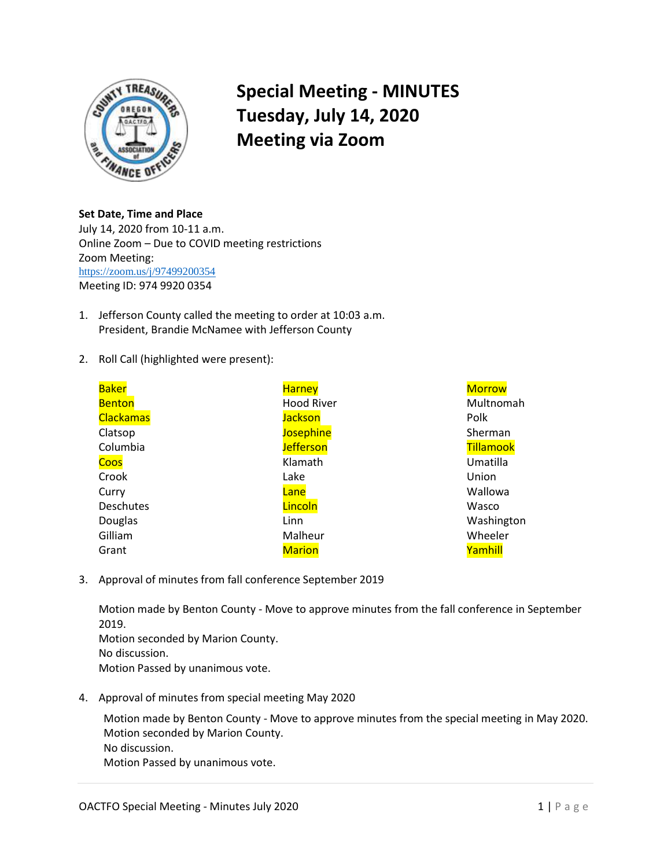

## **Special Meeting - MINUTES Tuesday, July 14, 2020 Meeting via Zoom**

**Set Date, Time and Place**  July 14, 2020 from 10-11 a.m. Online Zoom – Due to COVID meeting restrictions Zoom Meeting: <https://zoom.us/j/97499200354> Meeting ID: 974 9920 0354

- 1. Jefferson County called the meeting to order at 10:03 a.m. President, Brandie McNamee with Jefferson County
- 2. Roll Call (highlighted were present):

| <b>Baker</b>     | <b>Harney</b>     | <b>Morrow</b>    |
|------------------|-------------------|------------------|
| <b>Benton</b>    | <b>Hood River</b> | Multnomah        |
| <b>Clackamas</b> | <b>Jackson</b>    | Polk             |
| Clatsop          | <b>Josephine</b>  | Sherman          |
| Columbia         | <b>Jefferson</b>  | <b>Tillamook</b> |
| Coos             | Klamath           | Umatilla         |
| Crook            | Lake              | Union            |
| Curry            | Lane              | Wallowa          |
| <b>Deschutes</b> | Lincoln           | Wasco            |
| Douglas          | Linn              | Washington       |
| Gilliam          | Malheur           | Wheeler          |
| Grant            | <b>Marion</b>     | Yamhill          |

3. Approval of minutes from fall conference September 2019

Motion made by Benton County - Move to approve minutes from the fall conference in September 2019. Motion seconded by Marion County. No discussion. Motion Passed by unanimous vote.

4. Approval of minutes from special meeting May 2020

Motion made by Benton County - Move to approve minutes from the special meeting in May 2020. Motion seconded by Marion County. No discussion. Motion Passed by unanimous vote.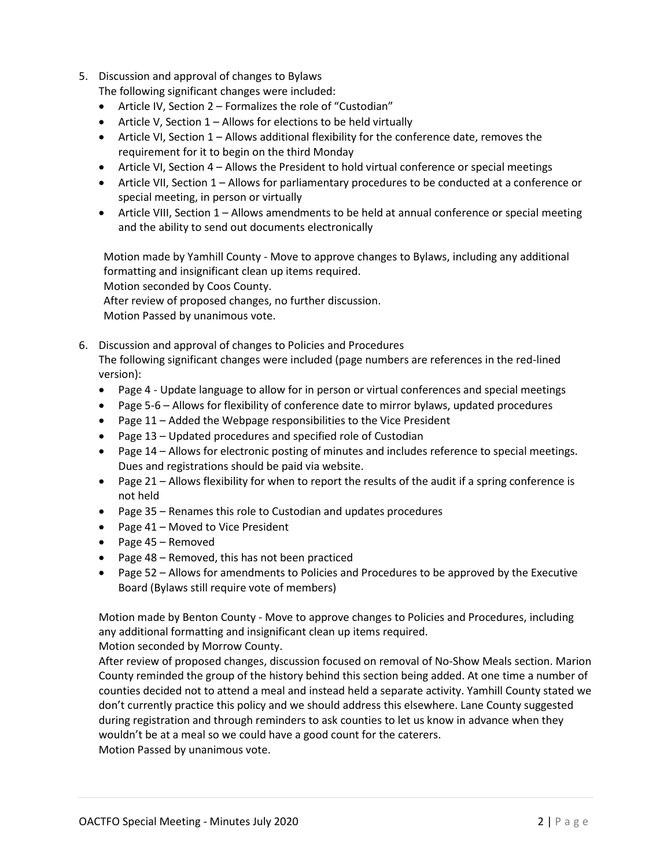- 5. Discussion and approval of changes to Bylaws The following significant changes were included:
	- Article IV, Section 2 Formalizes the role of "Custodian"
	- Article V, Section  $1 -$  Allows for elections to be held virtually
	- Article VI, Section 1 Allows additional flexibility for the conference date, removes the requirement for it to begin on the third Monday
	- Article VI, Section 4 Allows the President to hold virtual conference or special meetings
	- Article VII, Section 1 Allows for parliamentary procedures to be conducted at a conference or special meeting, in person or virtually
	- Article VIII, Section 1 Allows amendments to be held at annual conference or special meeting and the ability to send out documents electronically

Motion made by Yamhill County - Move to approve changes to Bylaws, including any additional formatting and insignificant clean up items required.

Motion seconded by Coos County.

After review of proposed changes, no further discussion.

Motion Passed by unanimous vote.

6. Discussion and approval of changes to Policies and Procedures The following significant changes were included (page numbers are references in the red-lined version):

- Page 4 Update language to allow for in person or virtual conferences and special meetings
- Page 5-6 Allows for flexibility of conference date to mirror bylaws, updated procedures
- Page  $11$  Added the Webpage responsibilities to the Vice President
- Page 13 Updated procedures and specified role of Custodian
- Page 14 Allows for electronic posting of minutes and includes reference to special meetings. Dues and registrations should be paid via website.
- Page  $21 -$  Allows flexibility for when to report the results of the audit if a spring conference is not held
- Page 35 Renames this role to Custodian and updates procedures
- Page 41 Moved to Vice President
- Page 45 Removed
- Page 48 Removed, this has not been practiced
- Page 52 Allows for amendments to Policies and Procedures to be approved by the Executive Board (Bylaws still require vote of members)

Motion made by Benton County - Move to approve changes to Policies and Procedures, including any additional formatting and insignificant clean up items required.

Motion seconded by Morrow County.

After review of proposed changes, discussion focused on removal of No-Show Meals section. Marion County reminded the group of the history behind this section being added. At one time a number of counties decided not to attend a meal and instead held a separate activity. Yamhill County stated we don't currently practice this policy and we should address this elsewhere. Lane County suggested during registration and through reminders to ask counties to let us know in advance when they wouldn't be at a meal so we could have a good count for the caterers. Motion Passed by unanimous vote.